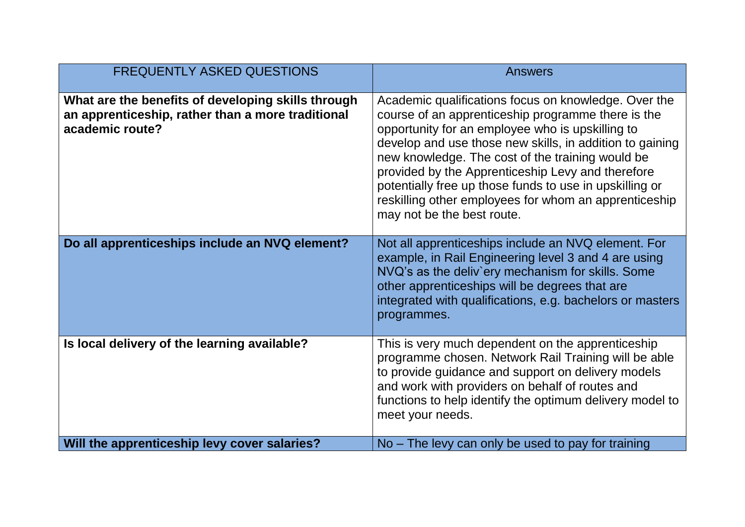| <b>FREQUENTLY ASKED QUESTIONS</b>                                                                                          | <b>Answers</b>                                                                                                                                                                                                                                                                                                                                                                                                                                                                        |
|----------------------------------------------------------------------------------------------------------------------------|---------------------------------------------------------------------------------------------------------------------------------------------------------------------------------------------------------------------------------------------------------------------------------------------------------------------------------------------------------------------------------------------------------------------------------------------------------------------------------------|
| What are the benefits of developing skills through<br>an apprenticeship, rather than a more traditional<br>academic route? | Academic qualifications focus on knowledge. Over the<br>course of an apprenticeship programme there is the<br>opportunity for an employee who is upskilling to<br>develop and use those new skills, in addition to gaining<br>new knowledge. The cost of the training would be<br>provided by the Apprenticeship Levy and therefore<br>potentially free up those funds to use in upskilling or<br>reskilling other employees for whom an apprenticeship<br>may not be the best route. |
| Do all apprenticeships include an NVQ element?                                                                             | Not all apprenticeships include an NVQ element. For<br>example, in Rail Engineering level 3 and 4 are using<br>NVQ's as the deliv'ery mechanism for skills. Some<br>other apprenticeships will be degrees that are<br>integrated with qualifications, e.g. bachelors or masters<br>programmes.                                                                                                                                                                                        |
| Is local delivery of the learning available?                                                                               | This is very much dependent on the apprenticeship<br>programme chosen. Network Rail Training will be able<br>to provide guidance and support on delivery models<br>and work with providers on behalf of routes and<br>functions to help identify the optimum delivery model to<br>meet your needs.                                                                                                                                                                                    |
| Will the apprenticeship levy cover salaries?                                                                               | No – The levy can only be used to pay for training                                                                                                                                                                                                                                                                                                                                                                                                                                    |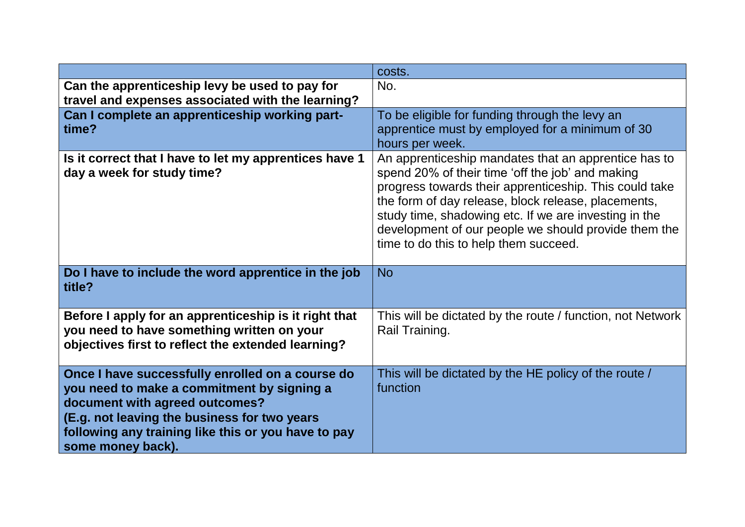|                                                                                                                                                                                                                                                              | costs.                                                                                                                                                                                                                                                                                                                                                                                           |
|--------------------------------------------------------------------------------------------------------------------------------------------------------------------------------------------------------------------------------------------------------------|--------------------------------------------------------------------------------------------------------------------------------------------------------------------------------------------------------------------------------------------------------------------------------------------------------------------------------------------------------------------------------------------------|
| Can the apprenticeship levy be used to pay for<br>travel and expenses associated with the learning?                                                                                                                                                          | No.                                                                                                                                                                                                                                                                                                                                                                                              |
| Can I complete an apprenticeship working part-<br>time?                                                                                                                                                                                                      | To be eligible for funding through the levy an<br>apprentice must by employed for a minimum of 30<br>hours per week.                                                                                                                                                                                                                                                                             |
| Is it correct that I have to let my apprentices have 1<br>day a week for study time?<br>Do I have to include the word apprentice in the job                                                                                                                  | An apprenticeship mandates that an apprentice has to<br>spend 20% of their time 'off the job' and making<br>progress towards their apprenticeship. This could take<br>the form of day release, block release, placements,<br>study time, shadowing etc. If we are investing in the<br>development of our people we should provide them the<br>time to do this to help them succeed.<br><b>No</b> |
| title?                                                                                                                                                                                                                                                       |                                                                                                                                                                                                                                                                                                                                                                                                  |
| Before I apply for an apprenticeship is it right that<br>you need to have something written on your<br>objectives first to reflect the extended learning?                                                                                                    | This will be dictated by the route / function, not Network<br>Rail Training.                                                                                                                                                                                                                                                                                                                     |
| Once I have successfully enrolled on a course do<br>you need to make a commitment by signing a<br>document with agreed outcomes?<br>(E.g. not leaving the business for two years<br>following any training like this or you have to pay<br>some money back). | This will be dictated by the HE policy of the route /<br>function                                                                                                                                                                                                                                                                                                                                |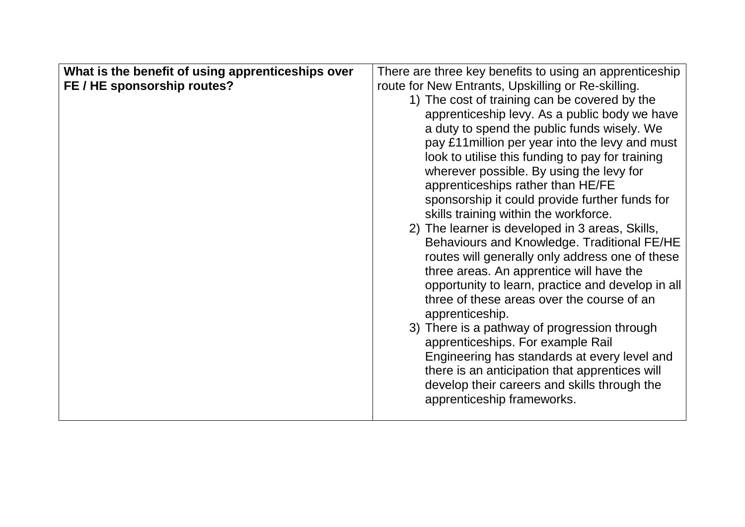| What is the benefit of using apprenticeships over | There are three key benefits to using an apprenticeship |
|---------------------------------------------------|---------------------------------------------------------|
| FE / HE sponsorship routes?                       | route for New Entrants, Upskilling or Re-skilling.      |
|                                                   | 1) The cost of training can be covered by the           |
|                                                   | apprenticeship levy. As a public body we have           |
|                                                   | a duty to spend the public funds wisely. We             |
|                                                   | pay £11 million per year into the levy and must         |
|                                                   | look to utilise this funding to pay for training        |
|                                                   | wherever possible. By using the levy for                |
|                                                   | apprenticeships rather than HE/FE                       |
|                                                   | sponsorship it could provide further funds for          |
|                                                   | skills training within the workforce.                   |
|                                                   | 2) The learner is developed in 3 areas, Skills,         |
|                                                   | Behaviours and Knowledge. Traditional FE/HE             |
|                                                   | routes will generally only address one of these         |
|                                                   | three areas. An apprentice will have the                |
|                                                   | opportunity to learn, practice and develop in all       |
|                                                   | three of these areas over the course of an              |
|                                                   | apprenticeship.                                         |
|                                                   | 3) There is a pathway of progression through            |
|                                                   | apprenticeships. For example Rail                       |
|                                                   | Engineering has standards at every level and            |
|                                                   | there is an anticipation that apprentices will          |
|                                                   | develop their careers and skills through the            |
|                                                   | apprenticeship frameworks.                              |
|                                                   |                                                         |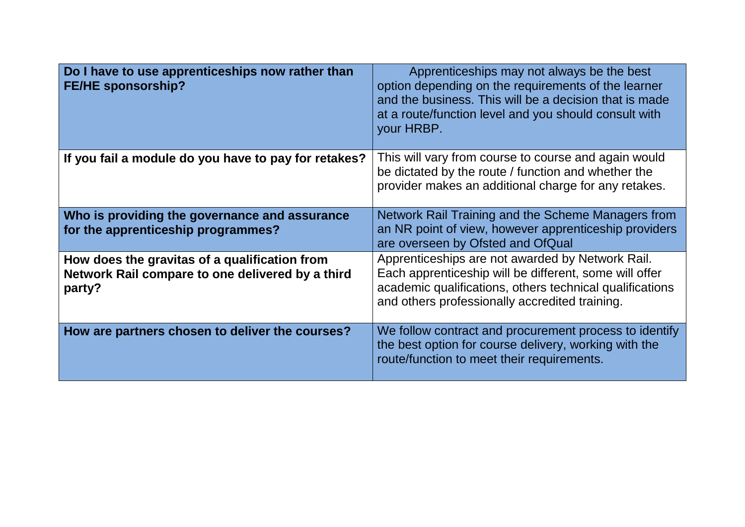| Do I have to use apprenticeships now rather than<br><b>FE/HE sponsorship?</b>                               | Apprenticeships may not always be the best<br>option depending on the requirements of the learner<br>and the business. This will be a decision that is made<br>at a route/function level and you should consult with<br>your HRBP. |
|-------------------------------------------------------------------------------------------------------------|------------------------------------------------------------------------------------------------------------------------------------------------------------------------------------------------------------------------------------|
| If you fail a module do you have to pay for retakes?                                                        | This will vary from course to course and again would<br>be dictated by the route / function and whether the<br>provider makes an additional charge for any retakes.                                                                |
| Who is providing the governance and assurance<br>for the apprenticeship programmes?                         | Network Rail Training and the Scheme Managers from<br>an NR point of view, however apprenticeship providers<br>are overseen by Ofsted and OfQual                                                                                   |
| How does the gravitas of a qualification from<br>Network Rail compare to one delivered by a third<br>party? | Apprenticeships are not awarded by Network Rail.<br>Each apprenticeship will be different, some will offer<br>academic qualifications, others technical qualifications<br>and others professionally accredited training.           |
| How are partners chosen to deliver the courses?                                                             | We follow contract and procurement process to identify<br>the best option for course delivery, working with the<br>route/function to meet their requirements.                                                                      |